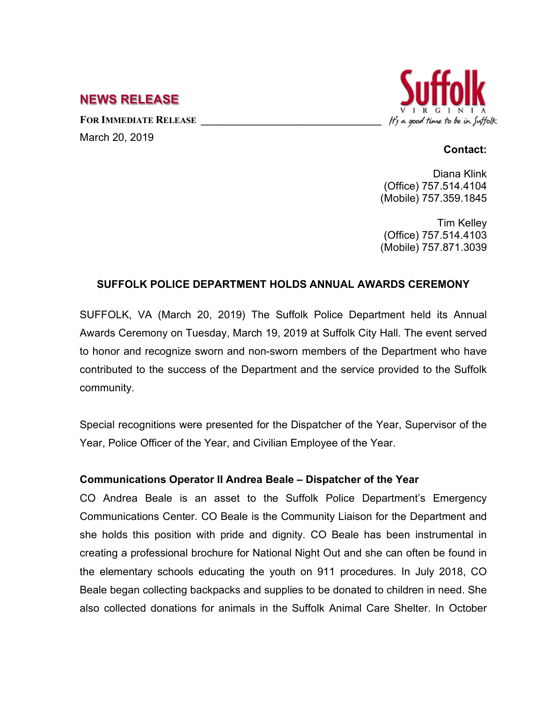# **NEWS RELEASE**

FOR **IMMEDIATE RELEASE** March 20, 2019



#### **Contact:**

Diana Klink (Office) 757.514.4104 (Mobile) 757.359.1845

Tim Kelley (Office) 757.514.4103 (Mobile) 757.871.3039

# **SUFFOLK POLICE DEPARTMENT HOLDS ANNUAL AWARDS CEREMONY**

SUFFOLK, VA (March 20, 2019) The Suffolk Police Department held its Annual Awards Ceremony on Tuesday, March 19, 2019 at Suffolk City Hall. The event served to honor and recognize sworn and non-sworn members of the Department who have contributed to the success of the Department and the service provided to the Suffolk community.

Special recognitions were presented for the Dispatcher of the Year, Supervisor of the Year, Police Officer of the Year, and Civilian Employee of the Year.

# **Communications Operator II Andrea Beale – Dispatcher of the Year**

CO Andrea Beale is an asset to the Suffolk Police Department's Emergency Communications Center. CO Beale is the Community Liaison for the Department and she holds this position with pride and dignity. CO Beale has been instrumental in creating a professional brochure for National Night Out and she can often be found in the elementary schools educating the youth on 911 procedures. In July 2018, CO Beale began collecting backpacks and supplies to be donated to children in need. She also collected donations for animals in the Suffolk Animal Care Shelter. In October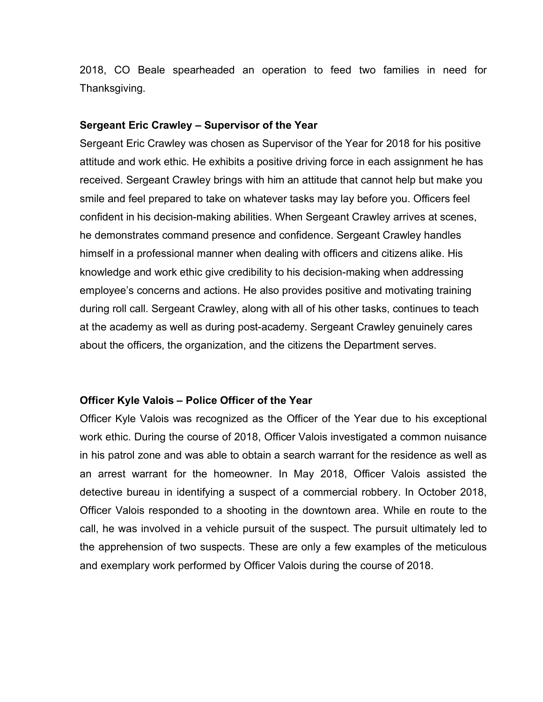2018, CO Beale spearheaded an operation to feed two families in need for Thanksgiving.

#### **Sergeant Eric Crawley – Supervisor of the Year**

Sergeant Eric Crawley was chosen as Supervisor of the Year for 2018 for his positive attitude and work ethic. He exhibits a positive driving force in each assignment he has received. Sergeant Crawley brings with him an attitude that cannot help but make you smile and feel prepared to take on whatever tasks may lay before you. Officers feel confident in his decision-making abilities. When Sergeant Crawley arrives at scenes, he demonstrates command presence and confidence. Sergeant Crawley handles himself in a professional manner when dealing with officers and citizens alike. His knowledge and work ethic give credibility to his decision-making when addressing employee's concerns and actions. He also provides positive and motivating training during roll call. Sergeant Crawley, along with all of his other tasks, continues to teach at the academy as well as during post-academy. Sergeant Crawley genuinely cares about the officers, the organization, and the citizens the Department serves.

#### **Officer Kyle Valois – Police Officer of the Year**

Officer Kyle Valois was recognized as the Officer of the Year due to his exceptional work ethic. During the course of 2018, Officer Valois investigated a common nuisance in his patrol zone and was able to obtain a search warrant for the residence as well as an arrest warrant for the homeowner. In May 2018, Officer Valois assisted the detective bureau in identifying a suspect of a commercial robbery. In October 2018, Officer Valois responded to a shooting in the downtown area. While en route to the call, he was involved in a vehicle pursuit of the suspect. The pursuit ultimately led to the apprehension of two suspects. These are only a few examples of the meticulous and exemplary work performed by Officer Valois during the course of 2018.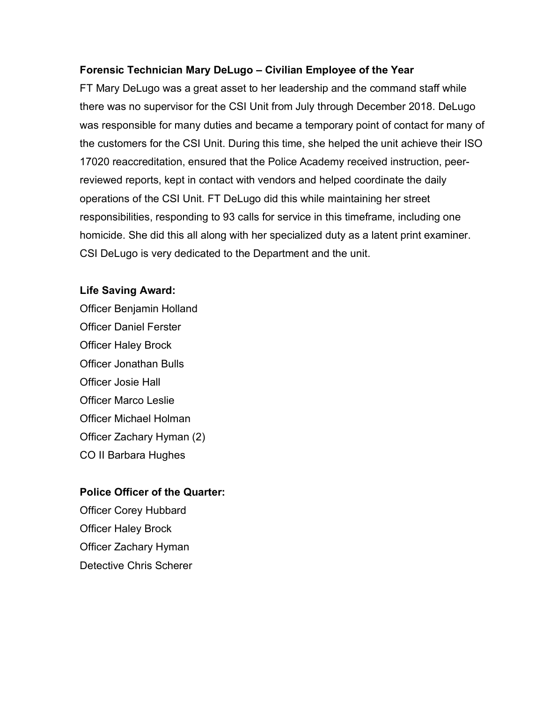### **Forensic Technician Mary DeLugo – Civilian Employee of the Year**

FT Mary DeLugo was a great asset to her leadership and the command staff while there was no supervisor for the CSI Unit from July through December 2018. DeLugo was responsible for many duties and became a temporary point of contact for many of the customers for the CSI Unit. During this time, she helped the unit achieve their ISO 17020 reaccreditation, ensured that the Police Academy received instruction, peerreviewed reports, kept in contact with vendors and helped coordinate the daily operations of the CSI Unit. FT DeLugo did this while maintaining her street responsibilities, responding to 93 calls for service in this timeframe, including one homicide. She did this all along with her specialized duty as a latent print examiner. CSI DeLugo is very dedicated to the Department and the unit.

### **Life Saving Award:**

Officer Benjamin Holland Officer Daniel Ferster Officer Haley Brock Officer Jonathan Bulls Officer Josie Hall Officer Marco Leslie Officer Michael Holman Officer Zachary Hyman (2) CO II Barbara Hughes

# **Police Officer of the Quarter:**

Officer Corey Hubbard Officer Haley Brock Officer Zachary Hyman Detective Chris Scherer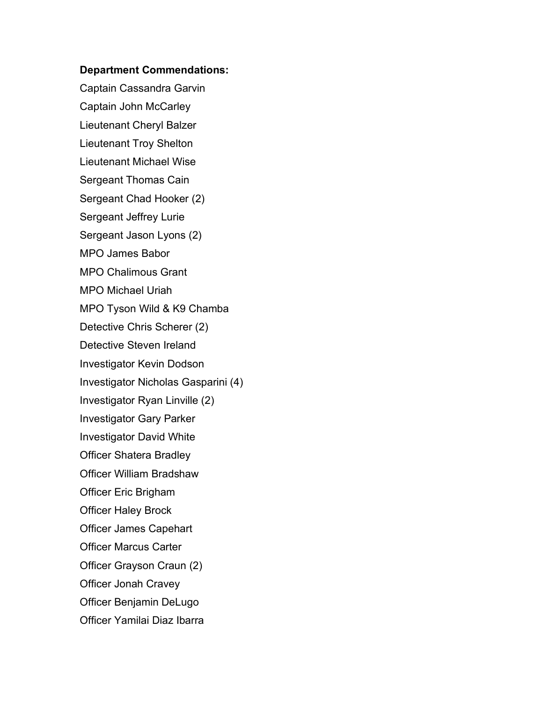#### **Department Commendations:**

Captain Cassandra Garvin Captain John McCarley Lieutenant Cheryl Balzer Lieutenant Troy Shelton Lieutenant Michael Wise Sergeant Thomas Cain Sergeant Chad Hooker (2) Sergeant Jeffrey Lurie Sergeant Jason Lyons (2) MPO James Babor MPO Chalimous Grant MPO Michael Uriah MPO Tyson Wild & K9 Chamba Detective Chris Scherer (2) Detective Steven Ireland Investigator Kevin Dodson Investigator Nicholas Gasparini (4) Investigator Ryan Linville (2) Investigator Gary Parker Investigator David White Officer Shatera Bradley Officer William Bradshaw Officer Eric Brigham Officer Haley Brock Officer James Capehart Officer Marcus Carter Officer Grayson Craun (2) Officer Jonah Cravey Officer Benjamin DeLugo Officer Yamilai Diaz Ibarra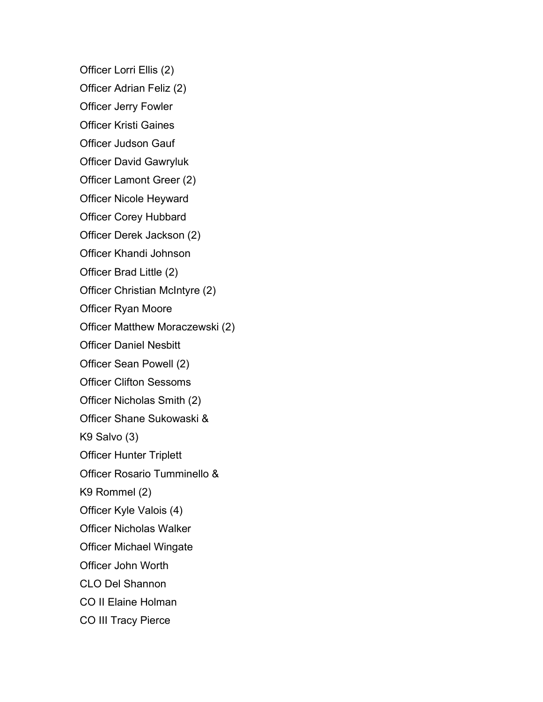Officer Lorri Ellis (2)

Officer Adrian Feliz (2)

Officer Jerry Fowler

Officer Kristi Gaines

Officer Judson Gauf

Officer David Gawryluk

Officer Lamont Greer (2)

Officer Nicole Heyward

Officer Corey Hubbard

Officer Derek Jackson (2)

Officer Khandi Johnson

Officer Brad Little (2)

Officer Christian McIntyre (2)

Officer Ryan Moore

Officer Matthew Moraczewski (2)

Officer Daniel Nesbitt

Officer Sean Powell (2)

Officer Clifton Sessoms

Officer Nicholas Smith (2)

Officer Shane Sukowaski &

K9 Salvo (3)

Officer Hunter Triplett

Officer Rosario Tumminello &

K9 Rommel (2)

Officer Kyle Valois (4)

Officer Nicholas Walker

Officer Michael Wingate

Officer John Worth

CLO Del Shannon

CO II Elaine Holman

CO III Tracy Pierce